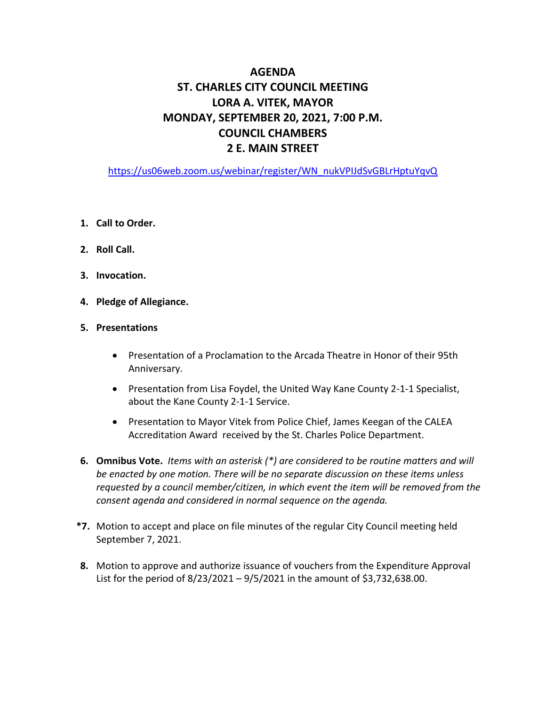# **AGENDA ST. CHARLES CITY COUNCIL MEETING LORA A. VITEK, MAYOR MONDAY, SEPTEMBER 20, 2021, 7:00 P.M. COUNCIL CHAMBERS 2 E. MAIN STREET**

[https://us06web.zoom.us/webinar/register/WN\\_nukVPIJdSvGBLrHptuYqvQ](https://us06web.zoom.us/webinar/register/WN_nukVPIJdSvGBLrHptuYqvQ)

- **1. Call to Order.**
- **2. Roll Call.**
- **3. Invocation.**
- **4. Pledge of Allegiance.**

#### **5. Presentations**

- Presentation of a Proclamation to the Arcada Theatre in Honor of their 95th Anniversary.
- Presentation from Lisa Foydel, the United Way Kane County 2-1-1 Specialist, about the Kane County 2-1-1 Service.
- Presentation to Mayor Vitek from Police Chief, James Keegan of the CALEA Accreditation Award received by the St. Charles Police Department.
- **6. Omnibus Vote.** *Items with an asterisk (\*) are considered to be routine matters and will be enacted by one motion. There will be no separate discussion on these items unless requested by a council member/citizen, in which event the item will be removed from the consent agenda and considered in normal sequence on the agenda.*
- **\*7.** Motion to accept and place on file minutes of the regular City Council meeting held September 7, 2021.
- **8.** Motion to approve and authorize issuance of vouchers from the Expenditure Approval List for the period of  $8/23/2021 - 9/5/2021$  in the amount of \$3,732,638.00.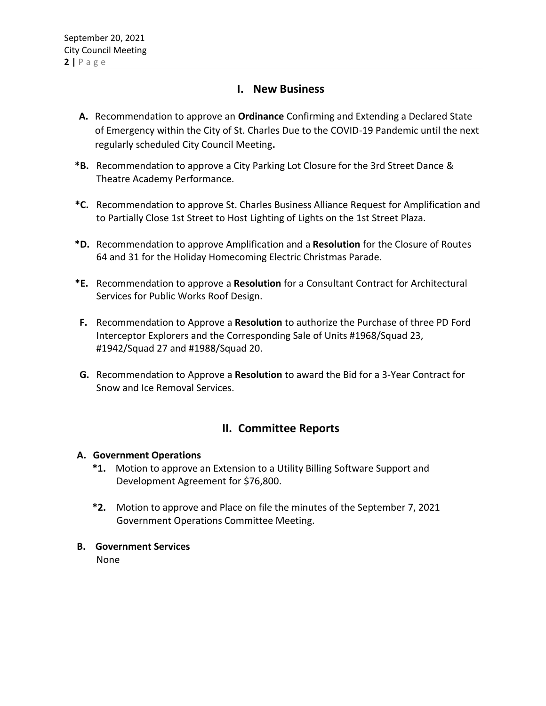### **I. New Business**

- **A.** Recommendation to approve an **Ordinance** Confirming and Extending a Declared State of Emergency within the City of St. Charles Due to the COVID-19 Pandemic until the next regularly scheduled City Council Meeting**.**
- **\*B.** Recommendation to approve a City Parking Lot Closure for the 3rd Street Dance & Theatre Academy Performance.
- **\*C.** Recommendation to approve St. Charles Business Alliance Request for Amplification and to Partially Close 1st Street to Host Lighting of Lights on the 1st Street Plaza.
- **\*D.** Recommendation to approve Amplification and a **Resolution** for the Closure of Routes 64 and 31 for the Holiday Homecoming Electric Christmas Parade.
- **\*E.** Recommendation to approve a **Resolution** for a Consultant Contract for Architectural Services for Public Works Roof Design.
- **F.** Recommendation to Approve a **Resolution** to authorize the Purchase of three PD Ford Interceptor Explorers and the Corresponding Sale of Units #1968/Squad 23, #1942/Squad 27 and #1988/Squad 20.
- **G.** Recommendation to Approve a **Resolution** to award the Bid for a 3-Year Contract for Snow and Ice Removal Services.

## **II. Committee Reports**

#### **A. Government Operations**

- **\*1.** Motion to approve an Extension to a Utility Billing Software Support and Development Agreement for \$76,800.
- **\*2.** Motion to approve and Place on file the minutes of the September 7, 2021 Government Operations Committee Meeting.
- **B. Government Services**

None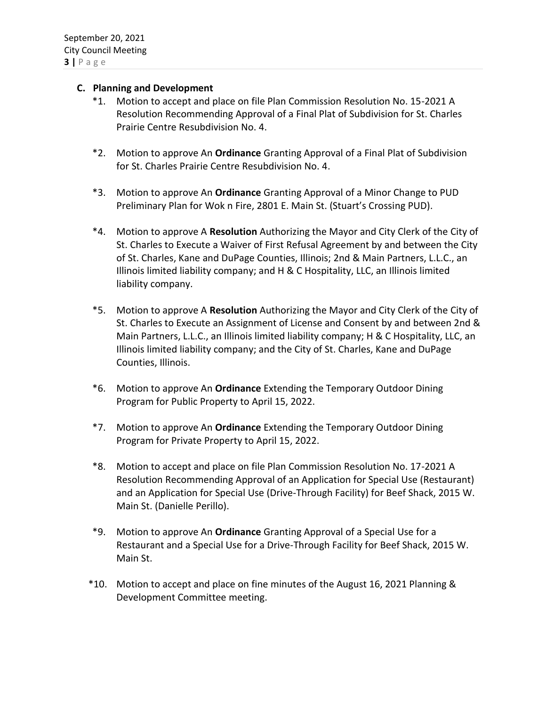#### **C. Planning and Development**

- \*1. Motion to accept and place on file Plan Commission Resolution No. 15-2021 A Resolution Recommending Approval of a Final Plat of Subdivision for St. Charles Prairie Centre Resubdivision No. 4.
- \*2. Motion to approve An **Ordinance** Granting Approval of a Final Plat of Subdivision for St. Charles Prairie Centre Resubdivision No. 4.
- \*3. Motion to approve An **Ordinance** Granting Approval of a Minor Change to PUD Preliminary Plan for Wok n Fire, 2801 E. Main St. (Stuart's Crossing PUD).
- \*4. Motion to approve A **Resolution** Authorizing the Mayor and City Clerk of the City of St. Charles to Execute a Waiver of First Refusal Agreement by and between the City of St. Charles, Kane and DuPage Counties, Illinois; 2nd & Main Partners, L.L.C., an Illinois limited liability company; and H & C Hospitality, LLC, an Illinois limited liability company.
- \*5. Motion to approve A **Resolution** Authorizing the Mayor and City Clerk of the City of St. Charles to Execute an Assignment of License and Consent by and between 2nd & Main Partners, L.L.C., an Illinois limited liability company; H & C Hospitality, LLC, an Illinois limited liability company; and the City of St. Charles, Kane and DuPage Counties, Illinois.
- \*6. Motion to approve An **Ordinance** Extending the Temporary Outdoor Dining Program for Public Property to April 15, 2022.
- \*7. Motion to approve An **Ordinance** Extending the Temporary Outdoor Dining Program for Private Property to April 15, 2022.
- \*8. Motion to accept and place on file Plan Commission Resolution No. 17-2021 A Resolution Recommending Approval of an Application for Special Use (Restaurant) and an Application for Special Use (Drive-Through Facility) for Beef Shack, 2015 W. Main St. (Danielle Perillo).
- \*9. Motion to approve An **Ordinance** Granting Approval of a Special Use for a Restaurant and a Special Use for a Drive-Through Facility for Beef Shack, 2015 W. Main St.
- \*10. Motion to accept and place on fine minutes of the August 16, 2021 Planning & Development Committee meeting.